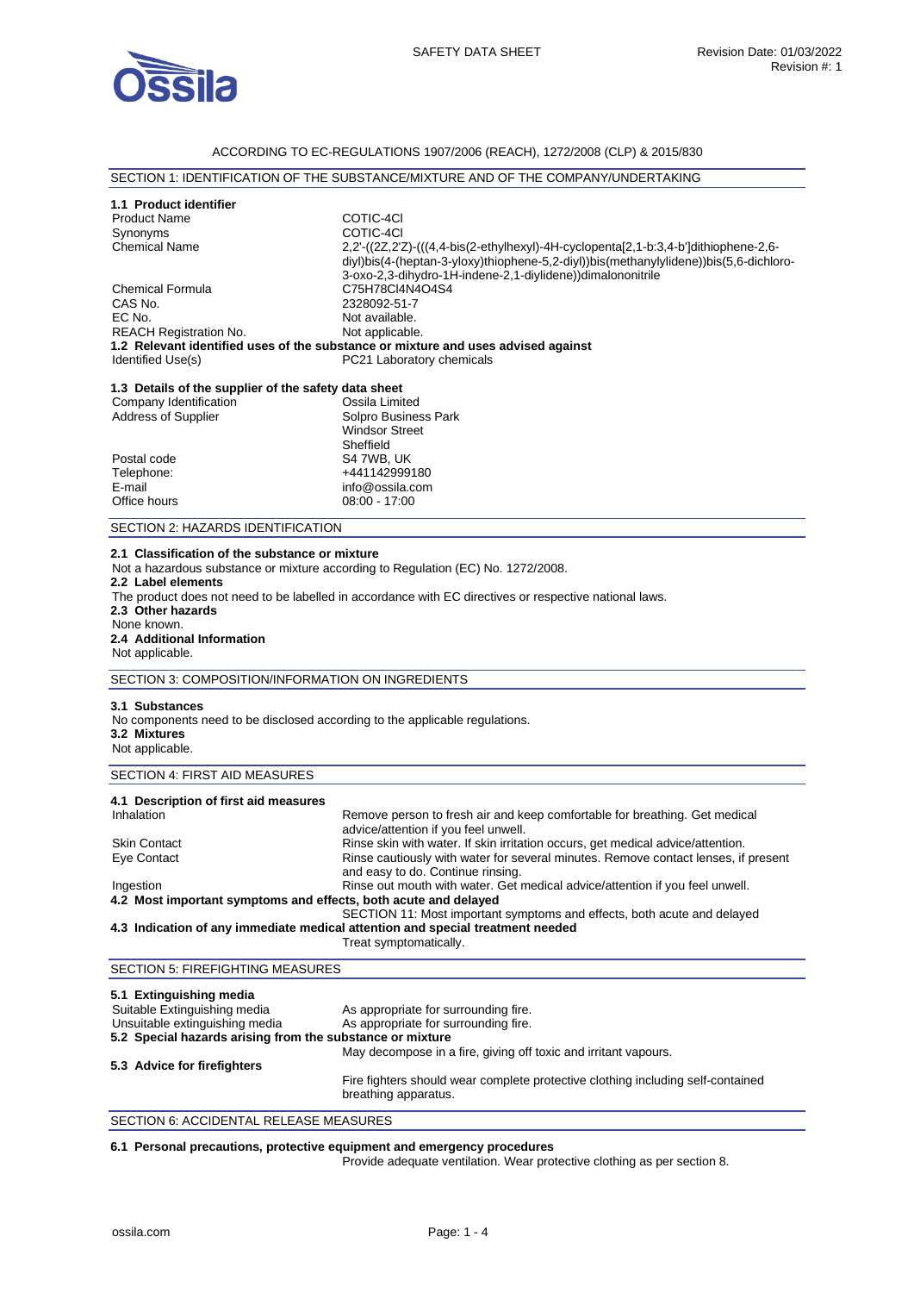

## ACCORDING TO EC-REGULATIONS 1907/2006 (REACH), 1272/2008 (CLP) & 2015/830

## SECTION 1: IDENTIFICATION OF THE SUBSTANCE/MIXTURE AND OF THE COMPANY/UNDERTAKING

| 1.1 Product identifier<br><b>Product Name</b><br>Synonyms<br><b>Chemical Name</b><br><b>Chemical Formula</b><br>CAS No.<br>EC No.<br><b>REACH Registration No.</b><br>Identified Use(s) | COTIC-4CI<br>COTIC-4CI<br>$2,2'$ ( $(2Z,2'Z)$ ( $(4,4$ -bis $(2$ -ethylhexyl)-4H-cyclopenta $[2,1$ -b:3,4-b']dithiophene-2,6-<br>diyl)bis(4-(heptan-3-yloxy)thiophene-5,2-diyl))bis(methanylylidene))bis(5,6-dichloro-<br>3-oxo-2,3-dihydro-1H-indene-2,1-divlidene))dimalononitrile<br>C75H78Cl4N4O4S4<br>2328092-51-7<br>Not available.<br>Not applicable.<br>1.2 Relevant identified uses of the substance or mixture and uses advised against<br>PC21 Laboratory chemicals                                                                                                                          |
|-----------------------------------------------------------------------------------------------------------------------------------------------------------------------------------------|---------------------------------------------------------------------------------------------------------------------------------------------------------------------------------------------------------------------------------------------------------------------------------------------------------------------------------------------------------------------------------------------------------------------------------------------------------------------------------------------------------------------------------------------------------------------------------------------------------|
| 1.3 Details of the supplier of the safety data sheet<br>Company Identification<br>Address of Supplier<br>Postal code<br>Telephone:<br>E-mail<br>Office hours                            | Ossila Limited<br>Solpro Business Park<br><b>Windsor Street</b><br>Sheffield<br>S4 7WB, UK<br>+441142999180<br>info@ossila.com<br>08:00 - 17:00                                                                                                                                                                                                                                                                                                                                                                                                                                                         |
| SECTION 2: HAZARDS IDENTIFICATION                                                                                                                                                       |                                                                                                                                                                                                                                                                                                                                                                                                                                                                                                                                                                                                         |
| 2.1 Classification of the substance or mixture<br>2.2 Label elements<br>2.3 Other hazards<br>None known.<br>2.4 Additional Information<br>Not applicable.                               | Not a hazardous substance or mixture according to Regulation (EC) No. 1272/2008.<br>The product does not need to be labelled in accordance with EC directives or respective national laws.                                                                                                                                                                                                                                                                                                                                                                                                              |
| SECTION 3: COMPOSITION/INFORMATION ON INGREDIENTS                                                                                                                                       |                                                                                                                                                                                                                                                                                                                                                                                                                                                                                                                                                                                                         |
| 3.1 Substances<br>No components need to be disclosed according to the applicable regulations.<br>3.2 Mixtures<br>Not applicable.                                                        |                                                                                                                                                                                                                                                                                                                                                                                                                                                                                                                                                                                                         |
| SECTION 4: FIRST AID MEASURES                                                                                                                                                           |                                                                                                                                                                                                                                                                                                                                                                                                                                                                                                                                                                                                         |
| 4.1 Description of first aid measures<br>Inhalation<br><b>Skin Contact</b><br>Eye Contact<br>Ingestion<br>4.2 Most important symptoms and effects, both acute and delayed               | Remove person to fresh air and keep comfortable for breathing. Get medical<br>advice/attention if you feel unwell.<br>Rinse skin with water. If skin irritation occurs, get medical advice/attention.<br>Rinse cautiously with water for several minutes. Remove contact lenses, if present<br>and easy to do. Continue rinsing.<br>Rinse out mouth with water. Get medical advice/attention if you feel unwell.<br>SECTION 11: Most important symptoms and effects, both acute and delayed<br>4.3 Indication of any immediate medical attention and special treatment needed<br>Treat symptomatically. |
| <b>SECTION 5: FIREFIGHTING MEASURES</b>                                                                                                                                                 |                                                                                                                                                                                                                                                                                                                                                                                                                                                                                                                                                                                                         |
| 5.1 Extinguishing media<br>Suitable Extinguishing media<br>Unsuitable extinguishing media<br>5.2 Special hazards arising from the substance or mixture                                  | As appropriate for surrounding fire.<br>As appropriate for surrounding fire.                                                                                                                                                                                                                                                                                                                                                                                                                                                                                                                            |
| 5.3 Advice for firefighters                                                                                                                                                             | May decompose in a fire, giving off toxic and irritant vapours.<br>Fire fighters should wear complete protective clothing including self-contained<br>breathing apparatus.                                                                                                                                                                                                                                                                                                                                                                                                                              |

SECTION 6: ACCIDENTAL RELEASE MEASURES

**6.1 Personal precautions, protective equipment and emergency procedures** 

Provide adequate ventilation. Wear protective clothing as per section 8.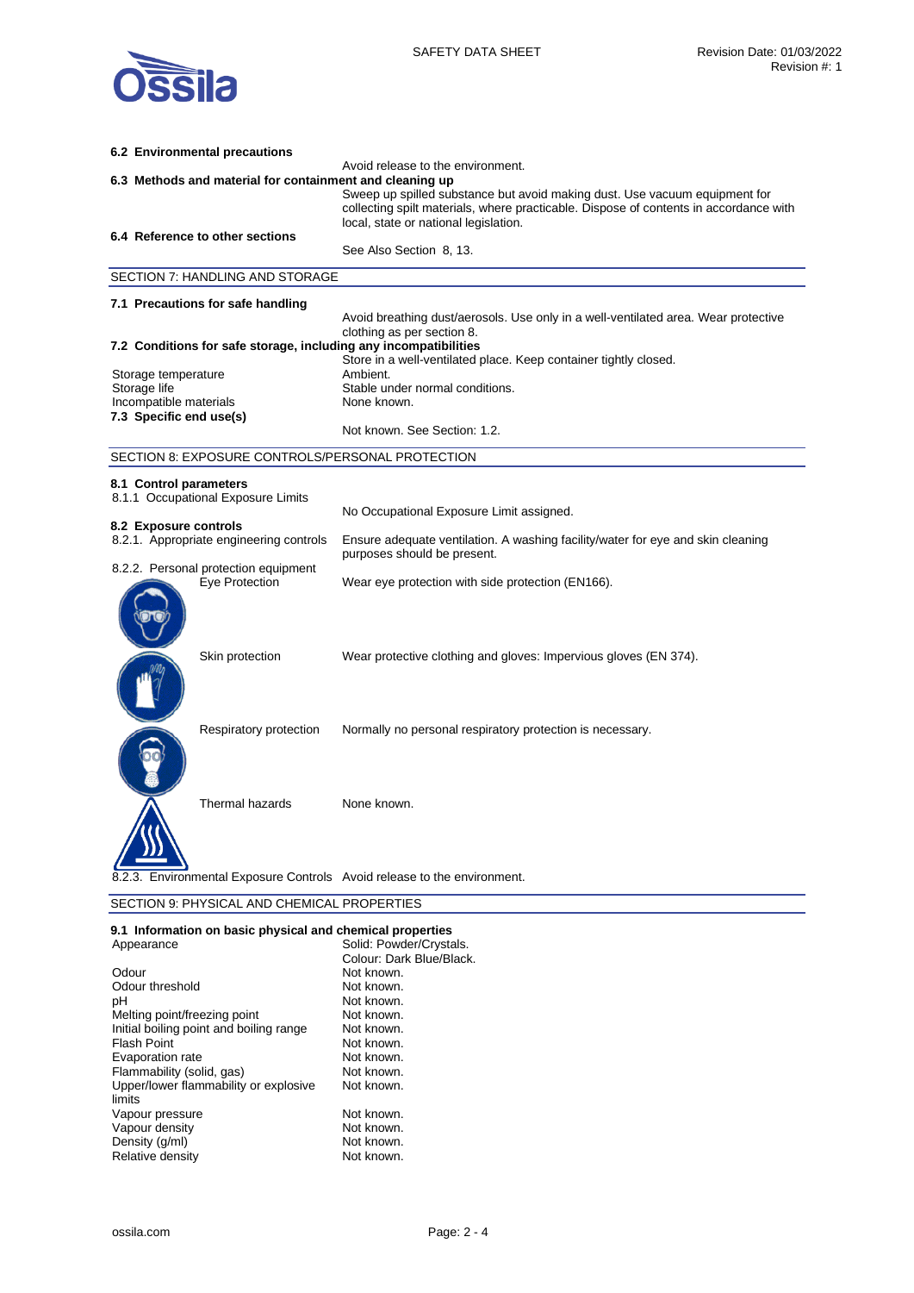

| 6.2 Environmental precautions                                            |                                                                                                                                                                                                              |
|--------------------------------------------------------------------------|--------------------------------------------------------------------------------------------------------------------------------------------------------------------------------------------------------------|
| 6.3 Methods and material for containment and cleaning up                 | Avoid release to the environment.                                                                                                                                                                            |
|                                                                          | Sweep up spilled substance but avoid making dust. Use vacuum equipment for<br>collecting spilt materials, where practicable. Dispose of contents in accordance with<br>local, state or national legislation. |
| 6.4 Reference to other sections                                          | See Also Section 8, 13.                                                                                                                                                                                      |
| SECTION 7: HANDLING AND STORAGE                                          |                                                                                                                                                                                                              |
|                                                                          |                                                                                                                                                                                                              |
| 7.1 Precautions for safe handling                                        | Avoid breathing dust/aerosols. Use only in a well-ventilated area. Wear protective<br>clothing as per section 8.                                                                                             |
| 7.2 Conditions for safe storage, including any incompatibilities         |                                                                                                                                                                                                              |
| Storage temperature                                                      | Store in a well-ventilated place. Keep container tightly closed.<br>Ambient.                                                                                                                                 |
| Storage life                                                             | Stable under normal conditions.                                                                                                                                                                              |
| Incompatible materials<br>7.3 Specific end use(s)                        | None known.                                                                                                                                                                                                  |
|                                                                          | Not known. See Section: 1.2.                                                                                                                                                                                 |
| SECTION 8: EXPOSURE CONTROLS/PERSONAL PROTECTION                         |                                                                                                                                                                                                              |
| 8.1 Control parameters                                                   |                                                                                                                                                                                                              |
| 8.1.1 Occupational Exposure Limits                                       |                                                                                                                                                                                                              |
| 8.2 Exposure controls                                                    | No Occupational Exposure Limit assigned.                                                                                                                                                                     |
| 8.2.1. Appropriate engineering controls                                  | Ensure adequate ventilation. A washing facility/water for eye and skin cleaning<br>purposes should be present.                                                                                               |
| 8.2.2. Personal protection equipment<br>Eye Protection                   | Wear eye protection with side protection (EN166).                                                                                                                                                            |
| Skin protection                                                          | Wear protective clothing and gloves: Impervious gloves (EN 374).                                                                                                                                             |
| Respiratory protection                                                   | Normally no personal respiratory protection is necessary.                                                                                                                                                    |
| Thermal hazards                                                          | None known.                                                                                                                                                                                                  |
| 8.2.3. Environmental Exposure Controls Avoid release to the environment. |                                                                                                                                                                                                              |
| SECTION 9: PHYSICAL AND CHEMICAL PROPERTIES                              |                                                                                                                                                                                                              |

## **9.1 Information on basic physical and chemical properties**

| Appearance                              | Solid: Powder/Crystals.  |
|-----------------------------------------|--------------------------|
|                                         | Colour: Dark Blue/Black. |
| Odour                                   | Not known.               |
| Odour threshold                         | Not known.               |
| рH                                      | Not known.               |
| Melting point/freezing point            | Not known.               |
| Initial boiling point and boiling range | Not known.               |
| Flash Point                             | Not known.               |
| Evaporation rate                        | Not known.               |
| Flammability (solid, gas)               | Not known.               |
| Upper/lower flammability or explosive   | Not known.               |
| limits                                  |                          |
| Vapour pressure                         | Not known.               |
| Vapour density                          | Not known.               |
| Density (g/ml)                          | Not known.               |
| Relative density                        | Not known.               |
|                                         |                          |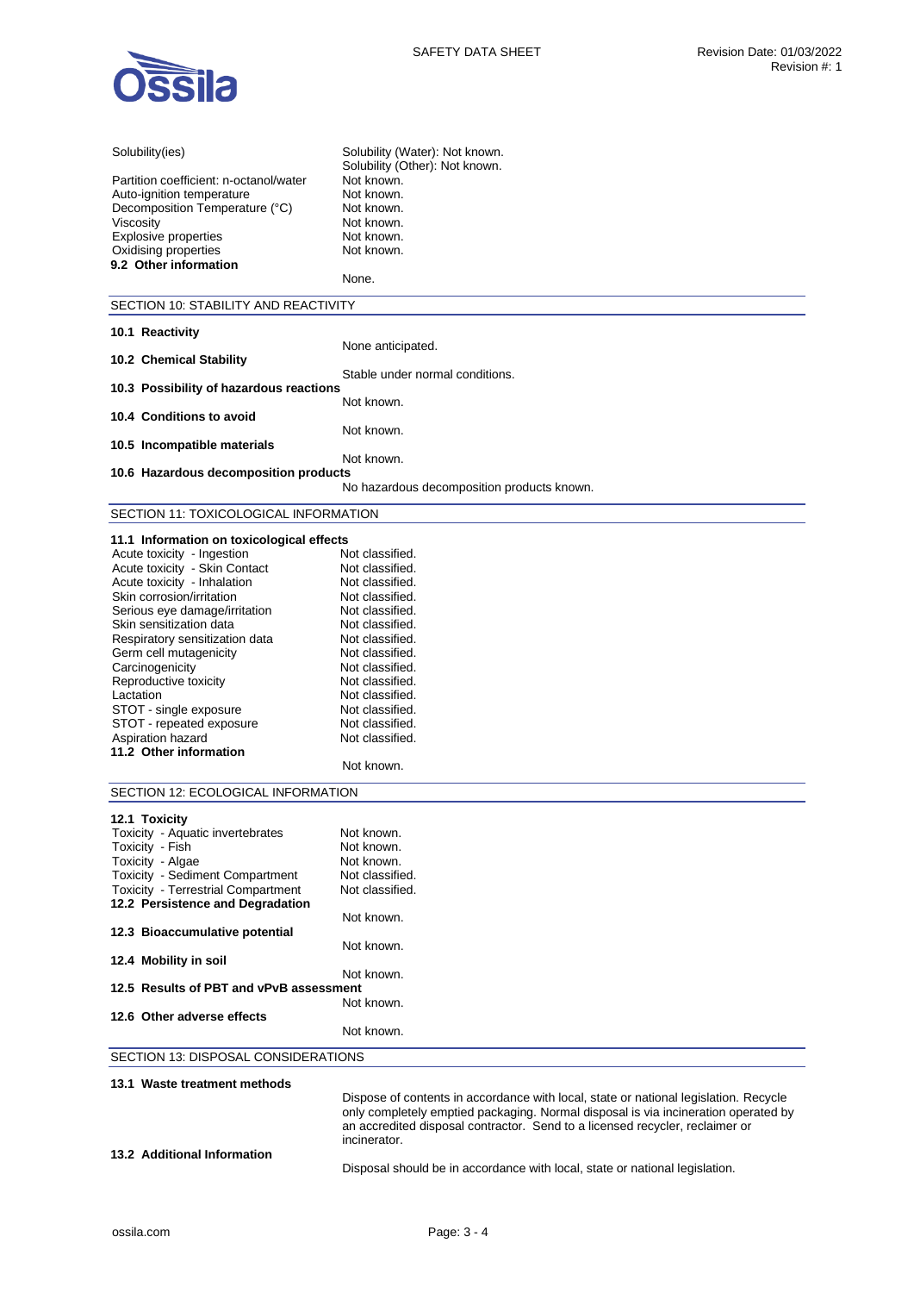

| Solubility(ies)                                              | Solubility (Water): Not known.                                                                                                                                             |
|--------------------------------------------------------------|----------------------------------------------------------------------------------------------------------------------------------------------------------------------------|
| Partition coefficient: n-octanol/water                       | Solubility (Other): Not known.<br>Not known.                                                                                                                               |
| Auto-ignition temperature                                    | Not known.                                                                                                                                                                 |
| Decomposition Temperature (°C)                               | Not known.                                                                                                                                                                 |
| Viscosity                                                    | Not known.                                                                                                                                                                 |
| <b>Explosive properties</b>                                  | Not known.                                                                                                                                                                 |
| Oxidising properties                                         | Not known.                                                                                                                                                                 |
| 9.2 Other information                                        |                                                                                                                                                                            |
|                                                              | None.                                                                                                                                                                      |
| SECTION 10: STABILITY AND REACTIVITY                         |                                                                                                                                                                            |
| 10.1 Reactivity                                              |                                                                                                                                                                            |
|                                                              | None anticipated.                                                                                                                                                          |
| 10.2 Chemical Stability                                      | Stable under normal conditions.                                                                                                                                            |
| 10.3 Possibility of hazardous reactions                      |                                                                                                                                                                            |
|                                                              | Not known.                                                                                                                                                                 |
| 10.4 Conditions to avoid                                     |                                                                                                                                                                            |
|                                                              | Not known.                                                                                                                                                                 |
| 10.5 Incompatible materials                                  | Not known.                                                                                                                                                                 |
| 10.6 Hazardous decomposition products                        |                                                                                                                                                                            |
|                                                              | No hazardous decomposition products known.                                                                                                                                 |
|                                                              |                                                                                                                                                                            |
| SECTION 11: TOXICOLOGICAL INFORMATION                        |                                                                                                                                                                            |
| 11.1 Information on toxicological effects                    |                                                                                                                                                                            |
| Acute toxicity - Ingestion                                   | Not classified.                                                                                                                                                            |
| Acute toxicity - Skin Contact<br>Acute toxicity - Inhalation | Not classified.<br>Not classified.                                                                                                                                         |
| Skin corrosion/irritation                                    | Not classified.                                                                                                                                                            |
| Serious eye damage/irritation                                | Not classified.                                                                                                                                                            |
| Skin sensitization data                                      | Not classified.                                                                                                                                                            |
| Respiratory sensitization data                               | Not classified.                                                                                                                                                            |
| Germ cell mutagenicity                                       | Not classified.                                                                                                                                                            |
| Carcinogenicity                                              | Not classified.                                                                                                                                                            |
| Reproductive toxicity                                        | Not classified.                                                                                                                                                            |
| Lactation<br>STOT - single exposure                          | Not classified.<br>Not classified.                                                                                                                                         |
| STOT - repeated exposure                                     | Not classified.                                                                                                                                                            |
| Aspiration hazard                                            | Not classified.                                                                                                                                                            |
| 11.2 Other information                                       |                                                                                                                                                                            |
|                                                              | Not known.                                                                                                                                                                 |
| SECTION 12: ECOLOGICAL INFORMATION                           |                                                                                                                                                                            |
|                                                              |                                                                                                                                                                            |
| 12.1 Toxicity<br>Toxicity - Aquatic invertebrates            | Not known.                                                                                                                                                                 |
| Toxicity - Fish                                              | Not known.                                                                                                                                                                 |
| Toxicity - Algae                                             | Not known.                                                                                                                                                                 |
| Toxicity - Sediment Compartment                              | Not classified.                                                                                                                                                            |
| <b>Toxicity - Terrestrial Compartment</b>                    | Not classified.                                                                                                                                                            |
| 12.2 Persistence and Degradation                             |                                                                                                                                                                            |
| 12.3 Bioaccumulative potential                               | Not known.                                                                                                                                                                 |
|                                                              | Not known.                                                                                                                                                                 |
| 12.4 Mobility in soil                                        |                                                                                                                                                                            |
|                                                              | Not known.                                                                                                                                                                 |
| 12.5 Results of PBT and vPvB assessment                      |                                                                                                                                                                            |
| 12.6 Other adverse effects                                   | Not known.                                                                                                                                                                 |
|                                                              | Not known.                                                                                                                                                                 |
| SECTION 13: DISPOSAL CONSIDERATIONS                          |                                                                                                                                                                            |
|                                                              |                                                                                                                                                                            |
| 13.1 Waste treatment methods                                 |                                                                                                                                                                            |
|                                                              | Dispose of contents in accordance with local, state or national legislation. Recycle<br>only completely emptied packaging. Normal disposal is via incineration operated by |
|                                                              | an accredited disposal contractor. Send to a licensed recycler, reclaimer or                                                                                               |
|                                                              | incinerator.                                                                                                                                                               |

**13.2 Additional Information** 

Disposal should be in accordance with local, state or national legislation.